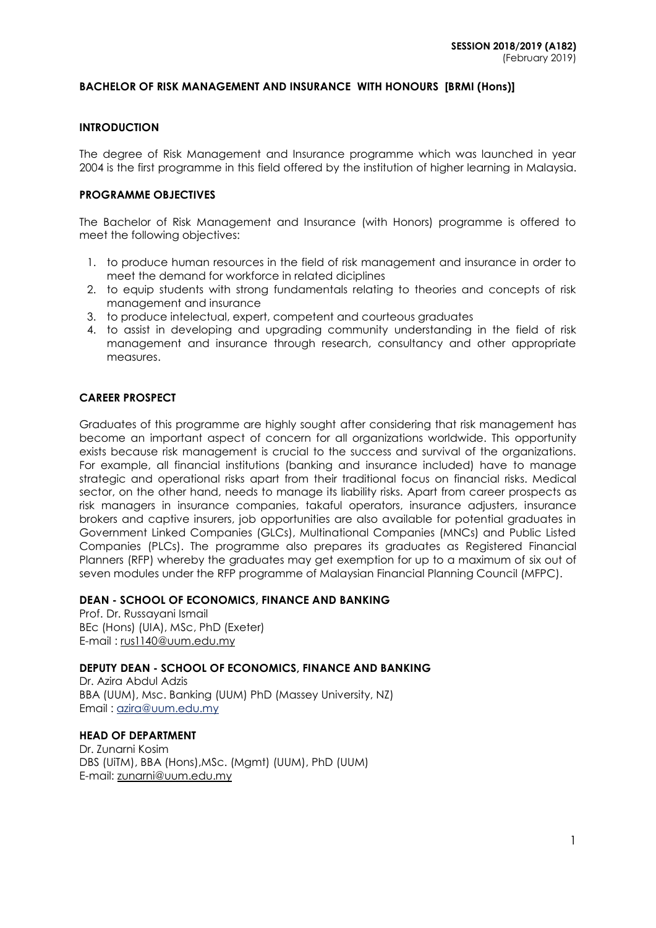### **BACHELOR OF RISK MANAGEMENT AND INSURANCE WITH HONOURS [BRMI (Hons)]**

#### **INTRODUCTION**

The degree of Risk Management and Insurance programme which was launched in year 2004 is the first programme in this field offered by the institution of higher learning in Malaysia.

#### **PROGRAMME OBJECTIVES**

The Bachelor of Risk Management and Insurance (with Honors) programme is offered to meet the following objectives:

- 1. to produce human resources in the field of risk management and insurance in order to meet the demand for workforce in related diciplines
- 2. to equip students with strong fundamentals relating to theories and concepts of risk management and insurance
- 3. to produce intelectual, expert, competent and courteous graduates
- 4. to assist in developing and upgrading community understanding in the field of risk management and insurance through research, consultancy and other appropriate measures.

### **CAREER PROSPECT**

Graduates of this programme are highly sought after considering that risk management has become an important aspect of concern for all organizations worldwide. This opportunity exists because risk management is crucial to the success and survival of the organizations. For example, all financial institutions (banking and insurance included) have to manage strategic and operational risks apart from their traditional focus on financial risks. Medical sector, on the other hand, needs to manage its liability risks. Apart from career prospects as risk managers in insurance companies, takaful operators, insurance adjusters, insurance brokers and captive insurers, job opportunities are also available for potential graduates in Government Linked Companies (GLCs), Multinational Companies (MNCs) and Public Listed Companies (PLCs). The programme also prepares its graduates as Registered Financial Planners (RFP) whereby the graduates may get exemption for up to a maximum of six out of seven modules under the RFP programme of Malaysian Financial Planning Council (MFPC).

#### **DEAN - SCHOOL OF ECONOMICS, FINANCE AND BANKING**

Prof. Dr. Russayani Ismail BEc (Hons) (UIA), MSc, PhD (Exeter) E-mail : [rus1140@uum.edu.my](mailto:rus1140@uum.edu.my)

### **DEPUTY DEAN - SCHOOL OF ECONOMICS, FINANCE AND BANKING**

Dr. Azira Abdul Adzis BBA (UUM), Msc. Banking (UUM) PhD (Massey University, NZ) Email : [azira@uum.edu.my](mailto:azira@uum.edu.my)

### **HEAD OF DEPARTMENT**

Dr. Zunarni Kosim DBS (UiTM), BBA (Hons),MSc. (Mgmt) (UUM), PhD (UUM) E-mail: zunarni@uum.edu.my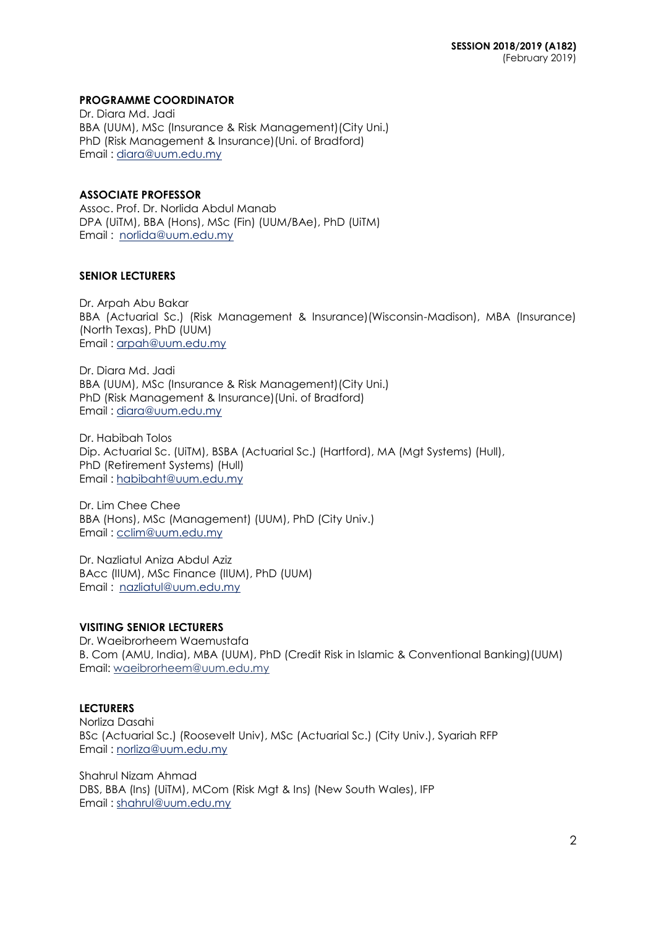### **PROGRAMME COORDINATOR**

Dr. Diara Md. Jadi BBA (UUM), MSc (Insurance & Risk Management)(City Uni.) PhD (Risk Management & Insurance)(Uni. of Bradford) Email : [diara@uum.edu.my](mailto:diara@uum.edu.my)

### **ASSOCIATE PROFESSOR**

Assoc. Prof. Dr. Norlida Abdul Manab DPA (UiTM), BBA (Hons), MSc (Fin) (UUM/BAe), PhD (UiTM) Email : [norlida@uum.edu.my](mailto:norlida@uum.edu.my)

### **SENIOR LECTURERS**

Dr. Arpah Abu Bakar BBA (Actuarial Sc.) (Risk Management & Insurance)(Wisconsin-Madison), MBA (Insurance) (North Texas), PhD (UUM) Email : [arpah@uum.edu.my](mailto:arpah@uum.edu.my)

Dr. Diara Md. Jadi BBA (UUM), MSc (Insurance & Risk Management)(City Uni.) PhD (Risk Management & Insurance)(Uni. of Bradford) Email : [diara@uum.edu.my](mailto:diara@uum.edu.my)

Dr. Habibah Tolos Dip. Actuarial Sc. (UiTM), BSBA (Actuarial Sc.) (Hartford), MA (Mgt Systems) (Hull), PhD (Retirement Systems) (Hull) Email : [habibaht@uum.edu.my](mailto:habibaht@uum.edu.my)

Dr. Lim Chee Chee BBA (Hons), MSc (Management) (UUM), PhD (City Univ.) Email : [cclim@uum.edu.my](mailto:cclim@uum.edu.my)

Dr. Nazliatul Aniza Abdul Aziz BAcc (IIUM), MSc Finance (IIUM), PhD (UUM) Email : [nazliatul@uum.edu.my](mailto:nazliatul@uum.edu.my)

### **VISITING SENIOR LECTURERS**

Dr. Waeibrorheem Waemustafa B. Com (AMU, India), MBA (UUM), PhD (Credit Risk in Islamic & Conventional Banking)(UUM) Email: waeibrorheem@uum.edu.my

### **LECTURERS**

Norliza Dasahi BSc (Actuarial Sc.) (Roosevelt Univ), MSc (Actuarial Sc.) (City Univ.), Syariah RFP Email : norliza@uum.edu.my

Shahrul Nizam Ahmad DBS, BBA (Ins) (UiTM), MCom (Risk Mgt & Ins) (New South Wales), IFP Email : shahrul@uum.edu.my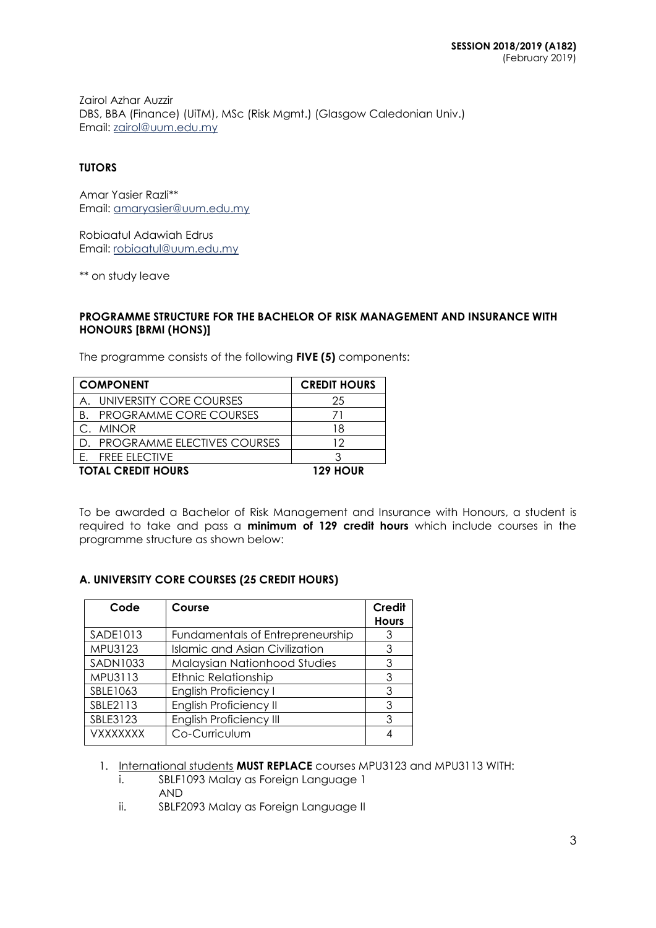Zairol Azhar Auzzir DBS, BBA (Finance) (UiTM), MSc (Risk Mgmt.) (Glasgow Caledonian Univ.) Email: [zairol@uum.edu.my](mailto:zairol@uum.edu.my)

### **TUTORS**

Amar Yasier Razli\*\* Email: amaryasier@uum.edu.my

Robiaatul Adawiah Edrus Email: [robiaatul@uum.edu.my](mailto:robiaatul@uum.edu.my)

\*\* on study leave

### **PROGRAMME STRUCTURE FOR THE BACHELOR OF RISK MANAGEMENT AND INSURANCE WITH HONOURS [BRMI (HONS)]**

The programme consists of the following **FIVE (5)** components:

| <b>COMPONENT</b>                 | <b>CREDIT HOURS</b> |
|----------------------------------|---------------------|
| A. UNIVERSITY CORE COURSES       | 25                  |
| <b>B. PROGRAMME CORE COURSES</b> |                     |
| C. MINOR                         | 18                  |
| D. PROGRAMME ELECTIVES COURSES   | 12                  |
| <b>FREE ELECTIVE</b><br>F.       |                     |
| <b>TOTAL CREDIT HOURS</b>        | 129 HOUR            |

To be awarded a Bachelor of Risk Management and Insurance with Honours, a student is required to take and pass a **minimum of 129 credit hours** which include courses in the programme structure as shown below:

## **A. UNIVERSITY CORE COURSES (25 CREDIT HOURS)**

| Code            | Course                                | Credit<br><b>Hours</b> |
|-----------------|---------------------------------------|------------------------|
| SADE1013        | Fundamentals of Entrepreneurship      | 3                      |
| MPU3123         | <b>Islamic and Asian Civilization</b> | 3                      |
| SADN1033        | Malaysian Nationhood Studies          | 3                      |
| MPU3113         | <b>Ethnic Relationship</b>            | 3                      |
| SBLE1063        | <b>English Proficiency I</b>          | 3                      |
| SBLE2113        | <b>English Proficiency II</b>         | 3                      |
| SBLE3123        | <b>English Proficiency III</b>        | 3                      |
| <b>VXXXXXXX</b> | Co-Curriculum                         |                        |

1. International students **MUST REPLACE** courses MPU3123 and MPU3113 WITH:

- i. SBLF1093 Malay as Foreign Language 1 AND
- ii. SBLF2093 Malay as Foreign Language II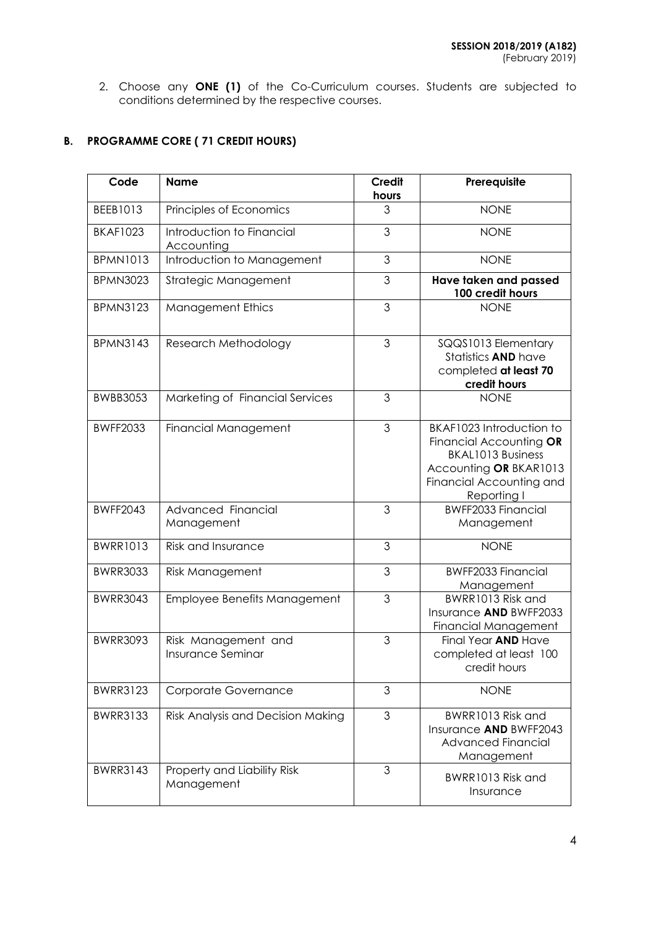2. Choose any **ONE (1)** of the Co-Curriculum courses. Students are subjected to conditions determined by the respective courses.

# **B. PROGRAMME CORE ( 71 CREDIT HOURS)**

| Code            | <b>Name</b>                                     | <b>Credit</b><br>hours | Prerequisite                                                                                                                                         |
|-----------------|-------------------------------------------------|------------------------|------------------------------------------------------------------------------------------------------------------------------------------------------|
| BEEB1013        | Principles of Economics                         | 3                      | <b>NONE</b>                                                                                                                                          |
| <b>BKAF1023</b> | Introduction to Financial<br>Accounting         | 3                      | <b>NONE</b>                                                                                                                                          |
| <b>BPMN1013</b> | Introduction to Management                      | 3                      | <b>NONE</b>                                                                                                                                          |
| <b>BPMN3023</b> | Strategic Management                            | 3                      | Have taken and passed<br>100 credit hours                                                                                                            |
| <b>BPMN3123</b> | <b>Management Ethics</b>                        | 3                      | <b>NONE</b>                                                                                                                                          |
| <b>BPMN3143</b> | Research Methodology                            | 3                      | SQQS1013 Elementary<br>Statistics AND have<br>completed at least 70<br>credit hours                                                                  |
| <b>BWBB3053</b> | Marketing of Financial Services                 | 3                      | <b>NONE</b>                                                                                                                                          |
| <b>BWFF2033</b> | <b>Financial Management</b>                     | 3                      | BKAF1023 Introduction to<br>Financial Accounting OR<br><b>BKAL1013 Business</b><br>Accounting OR BKAR1013<br>Financial Accounting and<br>Reporting I |
| <b>BWFF2043</b> | Advanced Financial<br>Management                | 3                      | BWFF2033 Financial<br>Management                                                                                                                     |
| <b>BWRR1013</b> | <b>Risk and Insurance</b>                       | 3                      | <b>NONE</b>                                                                                                                                          |
| <b>BWRR3033</b> | <b>Risk Management</b>                          | $\mathfrak{S}$         | <b>BWFF2033 Financial</b><br>Management                                                                                                              |
| <b>BWRR3043</b> | Employee Benefits Management                    | 3                      | BWRR1013 Risk and<br>Insurance AND BWFF2033<br>Financial Management                                                                                  |
| <b>BWRR3093</b> | Risk Management and<br><b>Insurance Seminar</b> | 3                      | Final Year AND Have<br>completed at least 100<br>credit hours                                                                                        |
| <b>BWRR3123</b> | Corporate Governance                            | 3                      | <b>NONE</b>                                                                                                                                          |
| <b>BWRR3133</b> | Risk Analysis and Decision Making               | 3                      | BWRR1013 Risk and<br>Insurance AND BWFF2043<br><b>Advanced Financial</b><br>Management                                                               |
| <b>BWRR3143</b> | Property and Liability Risk<br>Management       | 3                      | BWRR1013 Risk and<br>Insurance                                                                                                                       |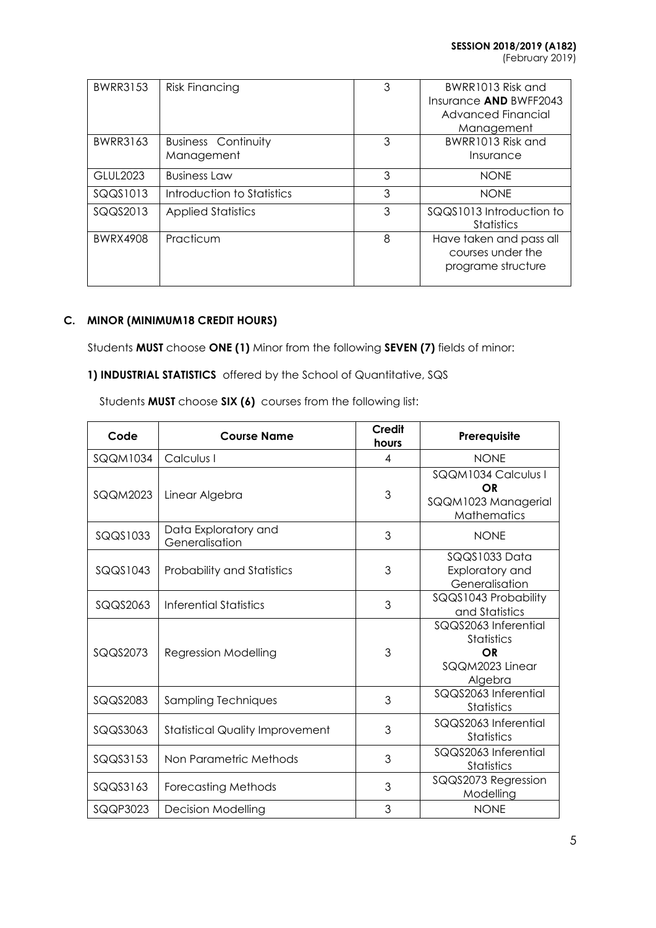(February 2019)

| <b>BWRR3153</b> | <b>Risk Financing</b>                    | 3 | BWRR1013 Risk and<br>Insurance AND BWFF2043<br>Advanced Financial  |
|-----------------|------------------------------------------|---|--------------------------------------------------------------------|
| BWRR3163        | <b>Business Continuity</b><br>Management | 3 | Management<br>BWRR1013 Risk and<br>Insurance                       |
| GLUL2023        | <b>Business Law</b>                      | 3 | <b>NONE</b>                                                        |
| SQQS1013        | Introduction to Statistics               | 3 | <b>NONE</b>                                                        |
| SQQS2013        | <b>Applied Statistics</b>                | 3 | SQQS1013 Introduction to<br>Statistics                             |
| <b>BWRX4908</b> | Practicum                                | 8 | Have taken and pass all<br>courses under the<br>programe structure |

# **C. MINOR (MINIMUM18 CREDIT HOURS)**

Students **MUST** choose **ONE (1)** Minor from the following **SEVEN (7)** fields of minor:

1) **INDUSTRIAL STATISTICS** offered by the School of Quantitative, SQS

| Code            | <b>Course Name</b>                     | Credit<br>hours | Prerequisite                                                                  |
|-----------------|----------------------------------------|-----------------|-------------------------------------------------------------------------------|
| <b>SQQM1034</b> | Calculus I                             | 4               | <b>NONF</b>                                                                   |
| <b>SQQM2023</b> | Linear Algebra                         | 3               | SQQM1034 Calculus I<br><b>OR</b><br>SQQM1023 Managerial<br><b>Mathematics</b> |
| SQQS1033        | Data Exploratory and<br>Generalisation | 3               | <b>NONE</b>                                                                   |
| SQQS1043        | <b>Probability and Statistics</b>      | 3               | SQQS1033 Data<br>Exploratory and<br>Generalisation                            |
| SQQS2063        | Inferential Statistics                 | 3               | SQQS1043 Probability<br>and Statistics                                        |
| SQQS2073        | <b>Regression Modelling</b>            | 3               | SQQS2063 Inferential<br><b>Statistics</b><br>OR<br>SQQM2023 Linear<br>Algebra |
| SQQS2083        | Sampling Techniques                    | 3               | SQQS2063 Inferential<br>Statistics                                            |
| SQQS3063        | <b>Statistical Quality Improvement</b> | 3               | SQQS2063 Inferential<br><b>Statistics</b>                                     |
| SQQS3153        | Non Parametric Methods                 | 3               | SQQS2063 Inferential<br><b>Statistics</b>                                     |
| SQQS3163        | <b>Forecasting Methods</b>             | 3               | SQQS2073 Regression<br>Modelling                                              |
| SQQP3023        | <b>Decision Modelling</b>              | 3               | <b>NONE</b>                                                                   |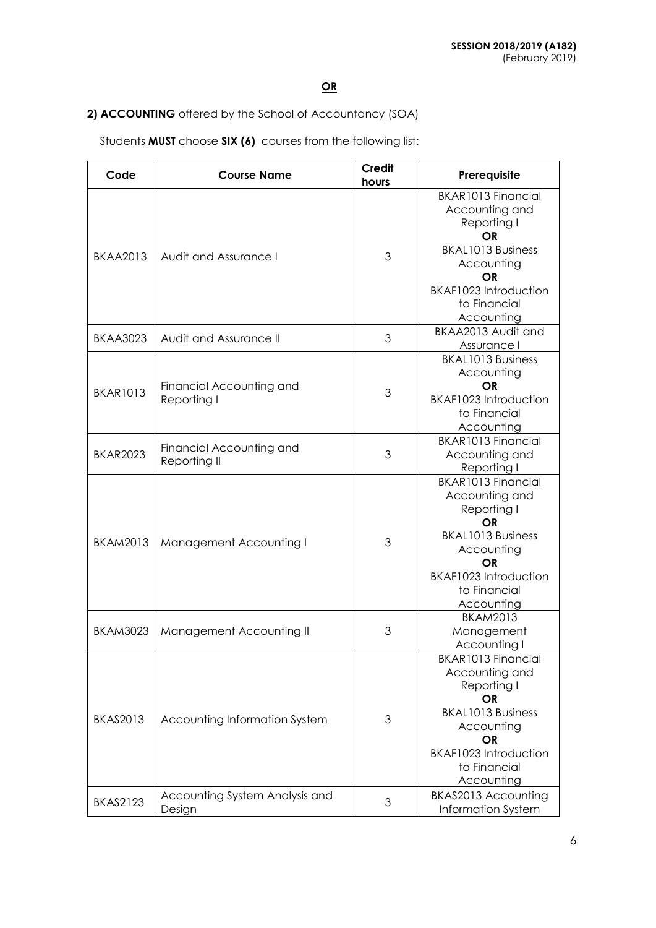# **2) ACCOUNTING** offered by the School of Accountancy (SOA)

| Code            | <b>Course Name</b>                       | <b>Credit</b><br>hours | Prerequisite                                                                                                                                                                   |
|-----------------|------------------------------------------|------------------------|--------------------------------------------------------------------------------------------------------------------------------------------------------------------------------|
| <b>BKAA2013</b> | Audit and Assurance I                    | 3                      | BKAR1013 Financial<br>Accounting and<br>Reporting I<br>OR<br><b>BKAL1013 Business</b><br>Accounting<br><b>OR</b><br>BKAF1023 Introduction<br>to Financial<br>Accounting        |
| <b>BKAA3023</b> | Audit and Assurance II                   | 3                      | BKAA2013 Audit and<br>Assurance I                                                                                                                                              |
| <b>BKAR1013</b> | Financial Accounting and<br>Reporting I  | 3                      | <b>BKAL1013 Business</b><br>Accounting<br><b>OR</b><br>BKAF1023 Introduction<br>to Financial<br>Accounting                                                                     |
| <b>BKAR2023</b> | Financial Accounting and<br>Reporting II | 3                      | BKAR1013 Financial<br>Accounting and<br>Reporting I                                                                                                                            |
| <b>BKAM2013</b> | Management Accounting I                  | 3                      | BKAR1013 Financial<br>Accounting and<br>Reporting I<br><b>OR</b><br><b>BKAL1013 Business</b><br>Accounting<br><b>OR</b><br>BKAF1023 Introduction<br>to Financial<br>Accounting |
| <b>BKAM3023</b> | Management Accounting II                 | 3                      | <b>BKAM2013</b><br>Management<br>Accounting I                                                                                                                                  |
| <b>BKAS2013</b> | Accounting Information System            | 3                      | BKAR1013 Financial<br>Accounting and<br>Reporting I<br><b>OR</b><br><b>BKAL1013 Business</b><br>Accounting<br><b>OR</b><br>BKAF1023 Introduction<br>to Financial<br>Accounting |
| <b>BKAS2123</b> | Accounting System Analysis and<br>Design | 3                      | BKAS2013 Accounting<br><b>Information System</b>                                                                                                                               |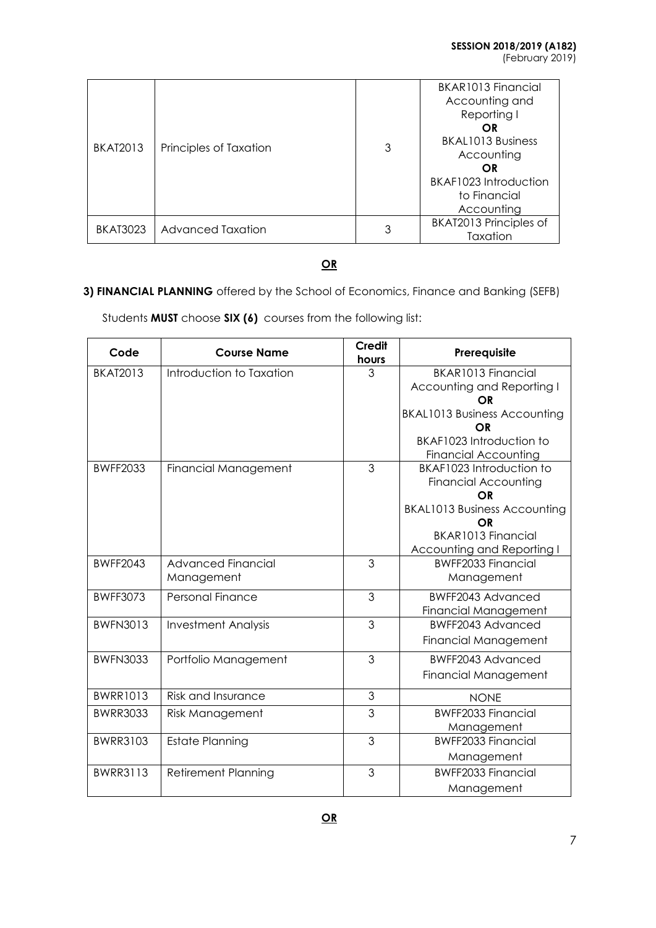| <b>BKAT2013</b> | Principles of Taxation | 3 | BKAR1013 Financial<br>Accounting and<br>Reporting I<br>OR<br><b>BKAL1013 Business</b><br>Accounting<br>OR<br>BKAF1023 Introduction<br>to Financial<br>Accounting |
|-----------------|------------------------|---|------------------------------------------------------------------------------------------------------------------------------------------------------------------|
| <b>BKAT3023</b> | Advanced Taxation      | 3 | BKAT2013 Principles of<br>Taxation                                                                                                                               |

# **3) FINANCIAL PLANNING** offered by the School of Economics, Finance and Banking (SEFB)

| Code            | <b>Course Name</b>          | <b>Credit</b><br>hours | Prerequisite                        |
|-----------------|-----------------------------|------------------------|-------------------------------------|
| <b>BKAT2013</b> | Introduction to Taxation    | 3                      | BKAR1013 Financial                  |
|                 |                             |                        | Accounting and Reporting I          |
|                 |                             |                        | OR                                  |
|                 |                             |                        | <b>BKAL1013 Business Accounting</b> |
|                 |                             |                        | OR<br>BKAF1023 Introduction to      |
|                 |                             |                        | <b>Financial Accounting</b>         |
| <b>BWFF2033</b> | <b>Financial Management</b> | 3                      | BKAF1023 Introduction to            |
|                 |                             |                        | <b>Financial Accounting</b>         |
|                 |                             |                        | OR                                  |
|                 |                             |                        | <b>BKAL1013 Business Accounting</b> |
|                 |                             |                        | OR                                  |
|                 |                             |                        | BKAR1013 Financial                  |
|                 |                             |                        | Accounting and Reporting I          |
| <b>BWFF2043</b> | <b>Advanced Financial</b>   | 3                      | <b>BWFF2033 Financial</b>           |
|                 | Management                  |                        | Management                          |
| <b>BWFF3073</b> | Personal Finance            | 3                      | BWFF2043 Advanced                   |
|                 |                             |                        | <b>Financial Management</b>         |
| <b>BWFN3013</b> | <b>Investment Analysis</b>  | 3                      | BWFF2043 Advanced                   |
|                 |                             |                        | <b>Financial Management</b>         |
| <b>BWFN3033</b> | Portfolio Management        | 3                      | <b>BWFF2043 Advanced</b>            |
|                 |                             |                        | <b>Financial Management</b>         |
| <b>BWRR1013</b> | Risk and Insurance          | 3                      | <b>NONE</b>                         |
| <b>BWRR3033</b> | <b>Risk Management</b>      | 3                      | <b>BWFF2033 Financial</b>           |
|                 |                             |                        | Management                          |
| <b>BWRR3103</b> | <b>Estate Planning</b>      | 3                      | <b>BWFF2033 Financial</b>           |
|                 |                             |                        | Management                          |
| <b>BWRR3113</b> | <b>Retirement Planning</b>  | 3                      | <b>BWFF2033 Financial</b>           |
|                 |                             |                        | Management                          |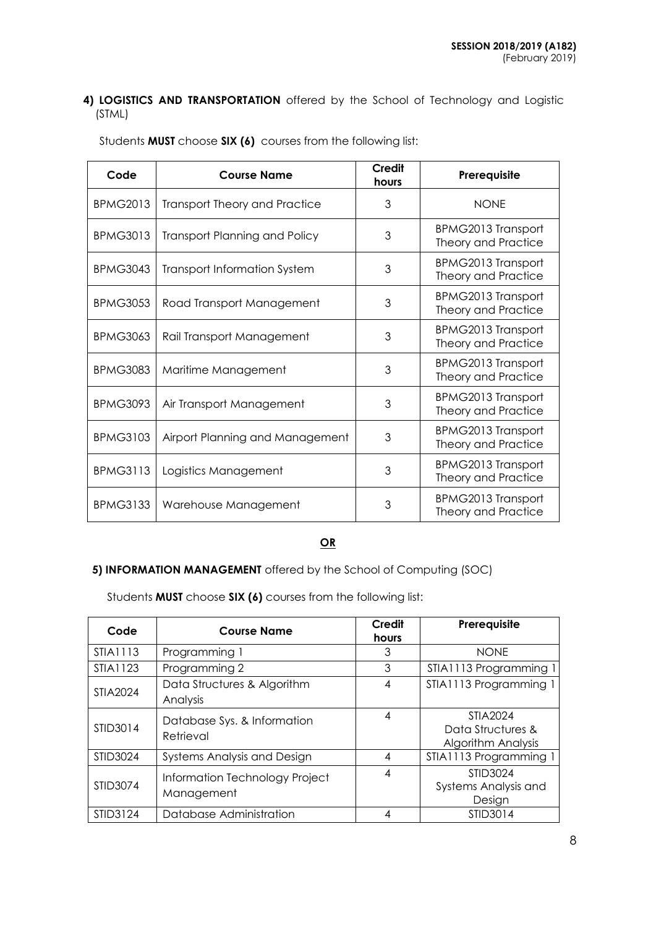## **4) LOGISTICS AND TRANSPORTATION** offered by the School of Technology and Logistic (STML)

| Code            | <b>Course Name</b>                   | <b>Credit</b><br>hours | Prerequisite                                            |
|-----------------|--------------------------------------|------------------------|---------------------------------------------------------|
| <b>BPMG2013</b> | <b>Transport Theory and Practice</b> | 3                      | <b>NONE</b>                                             |
| <b>BPMG3013</b> | <b>Transport Planning and Policy</b> | 3                      | <b>BPMG2013 Transport</b><br>Theory and Practice        |
| <b>BPMG3043</b> | <b>Transport Information System</b>  | 3                      | <b>BPMG2013 Transport</b><br>Theory and Practice        |
| <b>BPMG3053</b> | Road Transport Management            | 3                      | <b>BPMG2013 Transport</b><br>Theory and Practice        |
| <b>BPMG3063</b> | Rail Transport Management            | 3                      | <b>BPMG2013 Transport</b><br>Theory and Practice        |
| <b>BPMG3083</b> | Maritime Management                  | 3                      | <b>BPMG2013 Transport</b><br>Theory and Practice        |
| <b>BPMG3093</b> | Air Transport Management             | 3                      | BPMG2013 Transport<br>Theory and Practice               |
| <b>BPMG3103</b> | Airport Planning and Management      | 3                      | <b>BPMG2013 Transport</b><br>Theory and Practice        |
| <b>BPMG3113</b> | Logistics Management                 | 3                      | BPMG2013 Transport<br>Theory and Practice               |
| <b>BPMG3133</b> | Warehouse Management                 | 3                      | <b>BPMG2013 Transport</b><br><b>Theory and Practice</b> |

Students **MUST** choose **SIX (6)** courses from the following list:

# **OR**

## **5) INFORMATION MANAGEMENT** offered by the School of Computing (SOC)

| Code            | <b>Course Name</b>                           | Credit<br>hours | Prerequisite                                               |
|-----------------|----------------------------------------------|-----------------|------------------------------------------------------------|
| STIA1113        | Programming 1                                | 3               | <b>NONE</b>                                                |
| STIA1123        | Programming 2                                | 3               | STIA1113 Programming 1                                     |
| <b>STIA2024</b> | Data Structures & Algorithm<br>Analysis      | 4               | STIA1113 Programming 1                                     |
| STID3014        | Database Sys. & Information<br>Retrieval     | 4               | STIA2024<br>Data Structures &<br><b>Algorithm Analysis</b> |
| STID3024        | Systems Analysis and Design                  | 4               | STIA1113 Programming 1                                     |
| STID3074        | Information Technology Project<br>Management | 4               | STID3024<br>Systems Analysis and<br>Design                 |
| STID3124        | Database Administration                      | 4               | STID3014                                                   |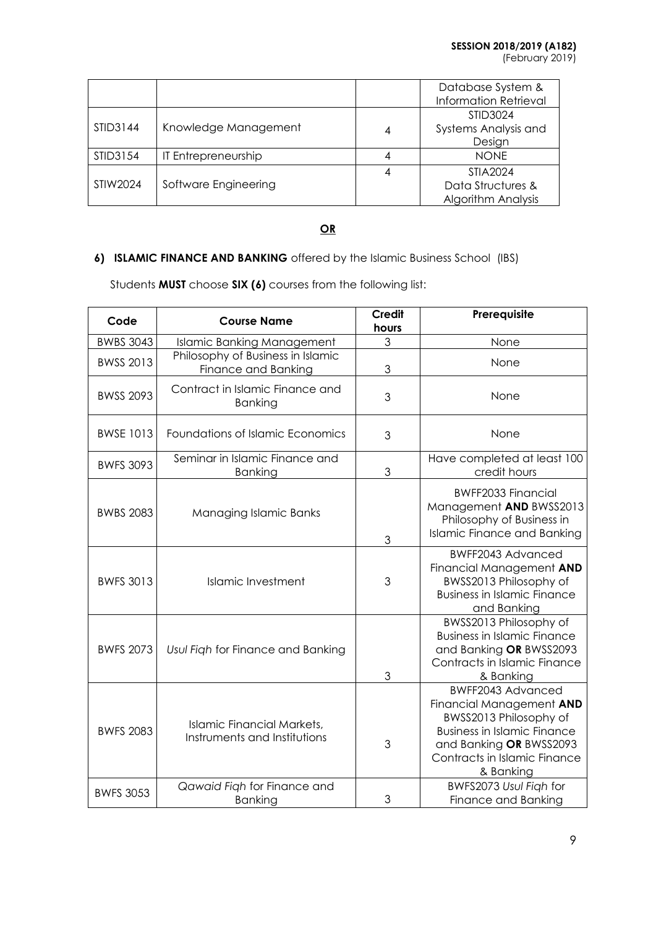|          |                      |   | Database System &<br><b>Information Retrieval</b> |
|----------|----------------------|---|---------------------------------------------------|
|          |                      |   | STID3024                                          |
| STID3144 | Knowledge Management | 4 | Systems Analysis and                              |
|          |                      |   | Design                                            |
| STID3154 | IT Entrepreneurship  | 4 | <b>NONF</b>                                       |
|          |                      | 4 | STIA2024                                          |
| STIW2024 | Software Engineering |   | Data Structures &                                 |
|          |                      |   | Algorithm Analysis                                |

# **6) ISLAMIC FINANCE AND BANKING** offered by the Islamic Business School (IBS)

| Code             | <b>Course Name</b>                                                | <b>Credit</b><br>hours | Prerequisite                                                                                                                                                                          |
|------------------|-------------------------------------------------------------------|------------------------|---------------------------------------------------------------------------------------------------------------------------------------------------------------------------------------|
| <b>BWBS 3043</b> | <b>Islamic Banking Management</b>                                 | 3                      | None                                                                                                                                                                                  |
| <b>BWSS 2013</b> | Philosophy of Business in Islamic<br>Finance and Banking          | 3                      | None                                                                                                                                                                                  |
| <b>BWSS 2093</b> | Contract in Islamic Finance and<br><b>Banking</b>                 | 3                      | None                                                                                                                                                                                  |
| <b>BWSE 1013</b> | Foundations of Islamic Economics                                  | 3                      | None                                                                                                                                                                                  |
| <b>BWFS 3093</b> | Seminar in Islamic Finance and<br>Banking                         | 3                      | Have completed at least 100<br>credit hours                                                                                                                                           |
| <b>BWBS 2083</b> | Managing Islamic Banks                                            | 3                      | <b>BWFF2033 Financial</b><br>Management AND BWSS2013<br>Philosophy of Business in<br><b>Islamic Finance and Banking</b>                                                               |
| <b>BWFS 3013</b> | <b>Islamic Investment</b>                                         | 3                      | <b>BWFF2043 Advanced</b><br>Financial Management AND<br>BWSS2013 Philosophy of<br><b>Business in Islamic Finance</b><br>and Banking                                                   |
| <b>BWFS 2073</b> | Usul Figh for Finance and Banking                                 | 3                      | BWSS2013 Philosophy of<br><b>Business in Islamic Finance</b><br>and Banking OR BWSS2093<br>Contracts in Islamic Finance<br>& Banking                                                  |
| <b>BWFS 2083</b> | <b>Islamic Financial Markets,</b><br>Instruments and Institutions | 3                      | BWFF2043 Advanced<br>Financial Management AND<br>BWSS2013 Philosophy of<br><b>Business in Islamic Finance</b><br>and Banking OR BWSS2093<br>Contracts in Islamic Finance<br>& Banking |
| <b>BWFS 3053</b> | Qawaid Figh for Finance and<br><b>Banking</b>                     | 3                      | BWFS2073 Usul Figh for<br>Finance and Banking                                                                                                                                         |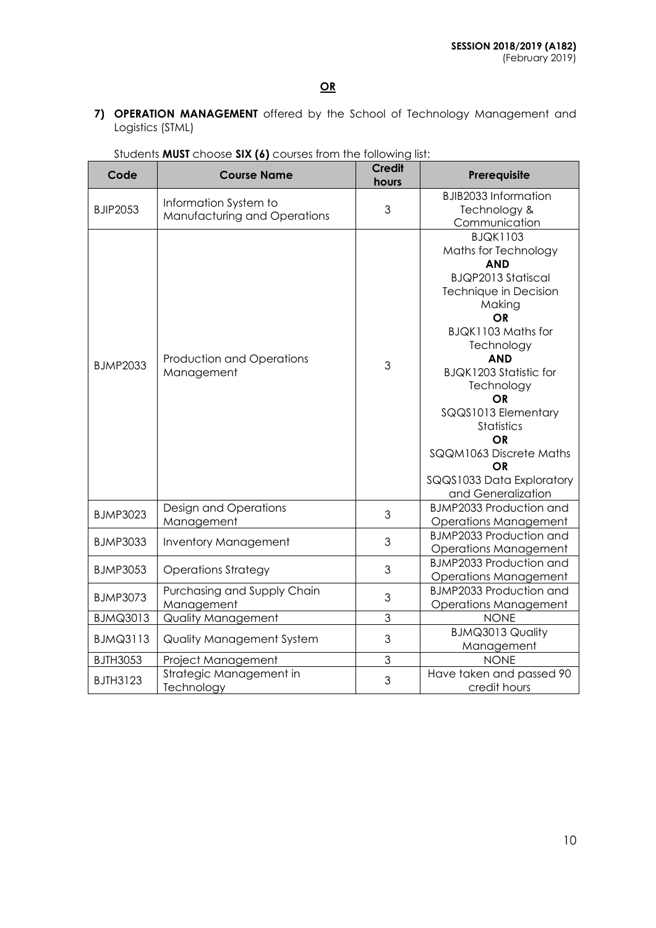**7) OPERATION MANAGEMENT** offered by the School of Technology Management and Logistics (STML)

| Code            | <b>Credit</b><br><b>Course Name</b><br>hours          |                                                                     | Prerequisite                                                                                                                                                                                                                                                                                                                                                                    |  |
|-----------------|-------------------------------------------------------|---------------------------------------------------------------------|---------------------------------------------------------------------------------------------------------------------------------------------------------------------------------------------------------------------------------------------------------------------------------------------------------------------------------------------------------------------------------|--|
| <b>BJIP2053</b> | Information System to<br>Manufacturing and Operations | 3                                                                   | <b>BJIB2033 Information</b><br>Technology &<br>Communication                                                                                                                                                                                                                                                                                                                    |  |
| <b>BJMP2033</b> | Production and Operations<br>Management               | 3                                                                   | <b>BJQK1103</b><br>Maths for Technology<br><b>AND</b><br><b>BJQP2013 Statiscal</b><br>Technique in Decision<br>Making<br><b>OR</b><br>BJQK1103 Maths for<br>Technology<br><b>AND</b><br><b>BJQK1203 Statistic for</b><br>Technology<br><b>OR</b><br>SQQS1013 Elementary<br>Statistics<br>OR<br>SQQM1063 Discrete Maths<br>OR<br>SQQS1033 Data Exploratory<br>and Generalization |  |
| <b>BJMP3023</b> | Design and Operations<br>Management                   | 3                                                                   | <b>BJMP2033 Production and</b><br><b>Operations Management</b>                                                                                                                                                                                                                                                                                                                  |  |
| <b>BJMP3033</b> | Inventory Management                                  | 3                                                                   | <b>BJMP2033 Production and</b><br><b>Operations Management</b>                                                                                                                                                                                                                                                                                                                  |  |
| <b>BJMP3053</b> | <b>Operations Strategy</b>                            | 3                                                                   | <b>BJMP2033 Production and</b><br><b>Operations Management</b>                                                                                                                                                                                                                                                                                                                  |  |
| <b>BJMP3073</b> | Purchasing and Supply Chain<br>Management             | <b>BJMP2033 Production and</b><br>3<br><b>Operations Management</b> |                                                                                                                                                                                                                                                                                                                                                                                 |  |
| <b>BJMQ3013</b> | <b>Quality Management</b>                             | 3                                                                   | <b>NONE</b>                                                                                                                                                                                                                                                                                                                                                                     |  |
| <b>BJMQ3113</b> | <b>Quality Management System</b>                      | 3                                                                   | <b>BJMQ3013 Quality</b><br>Management                                                                                                                                                                                                                                                                                                                                           |  |
| <b>BJTH3053</b> | Project Management                                    | 3                                                                   | <b>NONE</b>                                                                                                                                                                                                                                                                                                                                                                     |  |
| <b>BJTH3123</b> | Strategic Management in<br>Technology                 | Have taken and passed 90<br>3<br>credit hours                       |                                                                                                                                                                                                                                                                                                                                                                                 |  |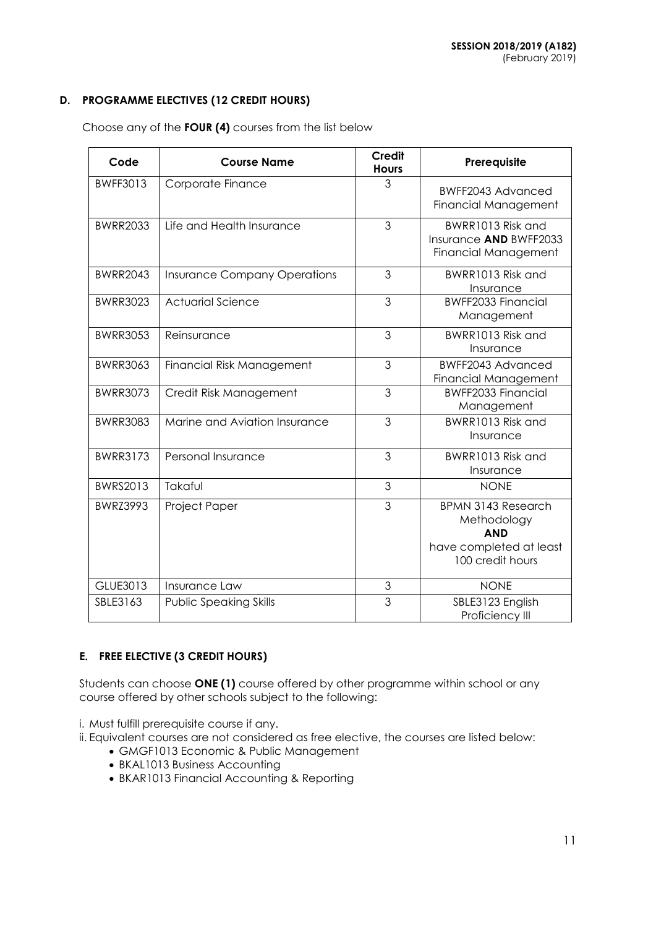## **D. PROGRAMME ELECTIVES (12 CREDIT HOURS)**

Choose any of the **FOUR (4)** courses from the list below

| Code            | <b>Course Name</b>                  | <b>Credit</b><br><b>Hours</b> | Prerequisite                                                                                          |  |
|-----------------|-------------------------------------|-------------------------------|-------------------------------------------------------------------------------------------------------|--|
| <b>BWFF3013</b> | Corporate Finance                   | 3                             | BWFF2043 Advanced<br><b>Financial Management</b>                                                      |  |
| <b>BWRR2033</b> | Life and Health Insurance           | 3                             | BWRR1013 Risk and<br>Insurance AND BWFF2033<br><b>Financial Management</b>                            |  |
| <b>BWRR2043</b> | <b>Insurance Company Operations</b> | 3                             | BWRR1013 Risk and<br>Insurance                                                                        |  |
| <b>BWRR3023</b> | <b>Actuarial Science</b>            | 3                             | <b>BWFF2033 Financial</b><br>Management                                                               |  |
| <b>BWRR3053</b> | Reinsurance                         | 3                             | BWRR1013 Risk and<br>Insurance                                                                        |  |
| <b>BWRR3063</b> | Financial Risk Management           | 3                             | <b>BWFF2043 Advanced</b><br><b>Financial Management</b>                                               |  |
| <b>BWRR3073</b> | Credit Risk Management              | 3                             | <b>BWFF2033 Financial</b><br>Management                                                               |  |
| <b>BWRR3083</b> | Marine and Aviation Insurance       | 3                             | BWRR1013 Risk and<br>Insurance                                                                        |  |
| <b>BWRR3173</b> | Personal Insurance                  | 3                             | BWRR1013 Risk and<br>Insurance                                                                        |  |
| <b>BWRS2013</b> | Takaful                             | 3                             | <b>NONE</b>                                                                                           |  |
| <b>BWRZ3993</b> | Project Paper                       | 3                             | <b>BPMN 3143 Research</b><br>Methodology<br><b>AND</b><br>have completed at least<br>100 credit hours |  |
| GLUE3013        | Insurance Law                       | $\mathfrak{S}$                | <b>NONE</b>                                                                                           |  |
| SBLE3163        | <b>Public Speaking Skills</b>       | 3                             | SBLE3123 English<br>Proficiency III                                                                   |  |

## **E. FREE ELECTIVE (3 CREDIT HOURS)**

Students can choose **ONE (1)** course offered by other programme within school or any course offered by other schools subject to the following:

i. Must fulfill prerequisite course if any.

ii. Equivalent courses are not considered as free elective, the courses are listed below:

- GMGF1013 Economic & Public Management
- BKAL1013 Business Accounting
- BKAR1013 Financial Accounting & Reporting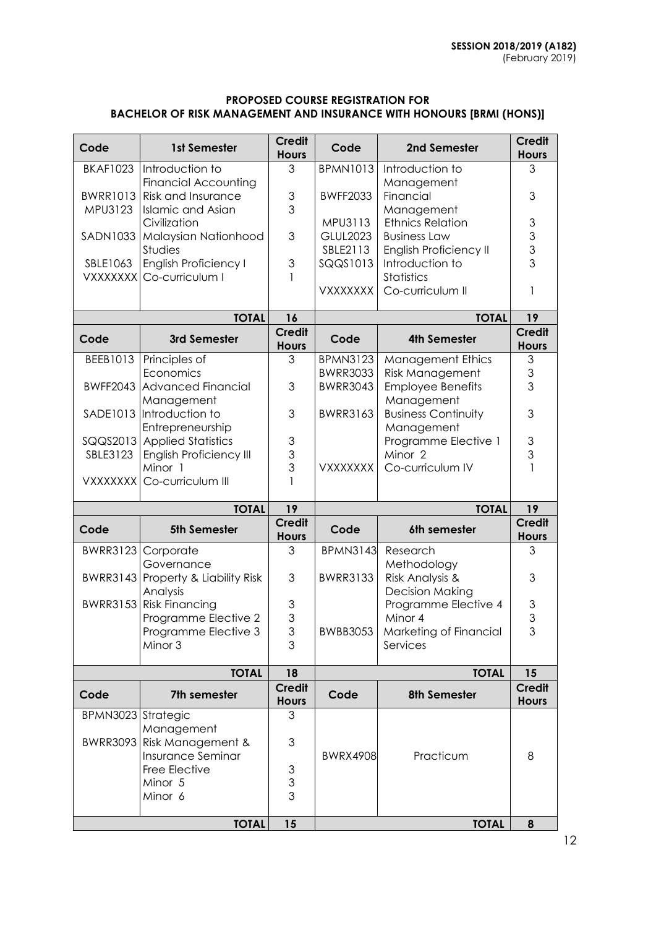### **PROPOSED COURSE REGISTRATION FOR BACHELOR OF RISK MANAGEMENT AND INSURANCE WITH HONOURS [BRMI (HONS)]**

| Code               | 1st Semester                                      | <b>Credit</b><br><b>Hours</b> | Code            | 2nd Semester                             | <b>Credit</b><br><b>Hours</b> |
|--------------------|---------------------------------------------------|-------------------------------|-----------------|------------------------------------------|-------------------------------|
| <b>BKAF1023</b>    | Introduction to                                   | 3                             | <b>BPMN1013</b> | Introduction to                          | 3                             |
| <b>BWRR1013</b>    | <b>Financial Accounting</b><br>Risk and Insurance | 3                             | <b>BWFF2033</b> | Management<br>Financial                  | 3                             |
| MPU3123            | <b>Islamic and Asian</b>                          | 3                             |                 | Management                               |                               |
|                    | Civilization                                      |                               | MPU3113         | <b>Ethnics Relation</b>                  | $\ensuremath{\mathsf{3}}$     |
| SADN1033           | Malaysian Nationhood                              | 3                             | <b>GLUL2023</b> | <b>Business Law</b>                      | $\mathfrak{S}$                |
|                    | Studies                                           |                               | SBLE2113        | <b>English Proficiency II</b>            | 3                             |
| SBLE1063           | <b>English Proficiency I</b>                      | 3                             | SQQS1013        | Introduction to                          | $\overline{3}$                |
|                    | VXXXXXXI Co-curriculum I                          |                               |                 | Statistics                               |                               |
|                    |                                                   |                               | <b>VXXXXXXX</b> | Co-curriculum II                         | 1                             |
|                    | <b>TOTAL</b>                                      | 16                            |                 | <b>TOTAL</b>                             | 19                            |
| Code               | 3rd Semester                                      | <b>Credit</b><br><b>Hours</b> | Code            | <b>4th Semester</b>                      | Credit<br><b>Hours</b>        |
| BEEB1013           | Principles of                                     | 3                             | <b>BPMN3123</b> | <b>Management Ethics</b>                 | $\mathfrak 3$                 |
|                    | Economics                                         |                               | <b>BWRR3033</b> | <b>Risk Management</b>                   | 3                             |
|                    | <b>BWFF2043 Advanced Financial</b>                | 3                             | <b>BWRR3043</b> | <b>Employee Benefits</b>                 | 3                             |
|                    | Management<br>SADE1013 Introduction to            | 3                             | <b>BWRR3163</b> | Management<br><b>Business Continuity</b> | 3                             |
|                    | Entrepreneurship                                  |                               |                 | Management                               |                               |
|                    | SQQS2013 Applied Statistics                       | $\ensuremath{\mathsf{3}}$     |                 | Programme Elective 1                     | $\ensuremath{\mathsf{3}}$     |
| SBLE3123           | <b>English Proficiency III</b>                    | 3                             |                 | Minor 2                                  | 3                             |
|                    | Minor 1                                           | 3                             | <b>VXXXXXXX</b> | Co-curriculum IV                         | $\mathbf{1}$                  |
|                    | VXXXXXXX Co-curriculum III                        | $\mathbf{1}$                  |                 |                                          |                               |
|                    | <b>TOTAL</b>                                      | 19                            | <b>TOTAL</b>    |                                          | 19                            |
| Code               | <b>5th Semester</b>                               | <b>Credit</b>                 | Code            | 6th semester                             | <b>Credit</b>                 |
|                    |                                                   | <b>Hours</b>                  |                 |                                          | <b>Hours</b>                  |
| <b>BWRR3123</b>    | Corporate<br>Governance                           | 3                             | <b>BPMN3143</b> | Research<br>Methodology                  | 3                             |
|                    | BWRR3143 Property & Liability Risk                | 3                             | <b>BWRR3133</b> | Risk Analysis &                          | 3                             |
|                    | Analysis                                          |                               |                 | <b>Decision Making</b>                   |                               |
|                    | BWRR3153 Risk Financing                           | 3                             |                 | Programme Elective 4                     | 3                             |
|                    | Programme Elective 2                              | 3                             |                 | Minor 4                                  | 3                             |
|                    | Programme Elective 3                              | 3                             | <b>BWBB3053</b> | Marketing of Financial                   | 3                             |
|                    | Minor 3                                           | 3                             |                 | Services                                 |                               |
|                    | <b>TOTAL</b>                                      | 18                            |                 | <b>TOTAL</b>                             | 15                            |
| Code               | 7th semester                                      | <b>Credit</b>                 | Code            | 8th Semester                             | <b>Credit</b>                 |
| BPMN3023 Strategic |                                                   | <b>Hours</b><br>3             |                 |                                          | <b>Hours</b>                  |
|                    | Management                                        |                               |                 |                                          |                               |
| <b>BWRR3093</b>    | Risk Management &                                 | 3                             |                 |                                          |                               |
|                    | Insurance Seminar                                 |                               | <b>BWRX4908</b> | Practicum                                | 8                             |
|                    | Free Elective                                     | 3                             |                 |                                          |                               |
|                    | Minor 5                                           | 3                             |                 |                                          |                               |
|                    | Minor 6                                           | 3                             |                 |                                          |                               |
|                    | <b>TOTAL</b>                                      | 15                            |                 | <b>TOTAL</b>                             | 8                             |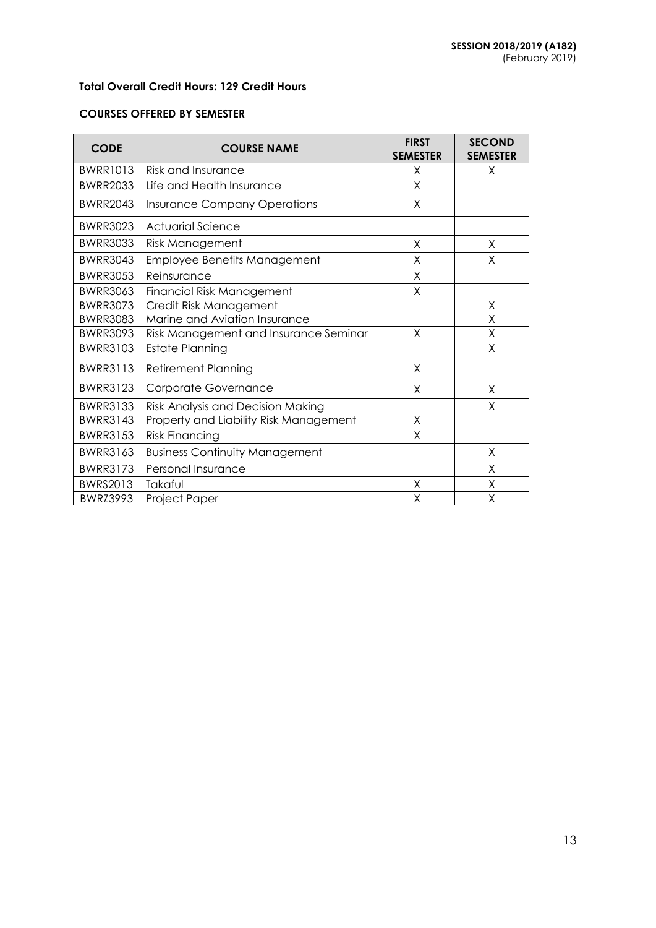## **Total Overall Credit Hours: 129 Credit Hours**

### **COURSES OFFERED BY SEMESTER**

| <b>CODE</b>     | <b>COURSE NAME</b>                     | <b>FIRST</b><br><b>SEMESTER</b> | <b>SECOND</b><br><b>SEMESTER</b> |
|-----------------|----------------------------------------|---------------------------------|----------------------------------|
| <b>BWRR1013</b> | <b>Risk and Insurance</b>              | X                               | χ                                |
| <b>BWRR2033</b> | Life and Health Insurance              | X                               |                                  |
| <b>BWRR2043</b> | <b>Insurance Company Operations</b>    | X                               |                                  |
| <b>BWRR3023</b> | <b>Actuarial Science</b>               |                                 |                                  |
| <b>BWRR3033</b> | Risk Management                        | X                               | X                                |
| <b>BWRR3043</b> | <b>Employee Benefits Management</b>    | Χ                               | Χ                                |
| <b>BWRR3053</b> | Reinsurance                            | X                               |                                  |
| <b>BWRR3063</b> | <b>Financial Risk Management</b>       | Χ                               |                                  |
| <b>BWRR3073</b> | Credit Risk Management                 |                                 | X                                |
| <b>BWRR3083</b> | Marine and Aviation Insurance          |                                 | Χ                                |
| <b>BWRR3093</b> | Risk Management and Insurance Seminar  | X                               | X                                |
| <b>BWRR3103</b> | <b>Estate Planning</b>                 |                                 | X                                |
| <b>BWRR3113</b> | <b>Retirement Planning</b>             | Χ                               |                                  |
| <b>BWRR3123</b> | Corporate Governance                   | X                               | X                                |
| <b>BWRR3133</b> | Risk Analysis and Decision Making      |                                 | Χ                                |
| <b>BWRR3143</b> | Property and Liability Risk Management | Χ                               |                                  |
| <b>BWRR3153</b> | <b>Risk Financing</b>                  | X                               |                                  |
| <b>BWRR3163</b> | <b>Business Continuity Management</b>  |                                 | X                                |
| <b>BWRR3173</b> | Personal Insurance                     |                                 | X                                |
| BWRS2013        | Takaful                                | χ                               | Χ                                |
| <b>BWRZ3993</b> | Project Paper                          | X                               | X                                |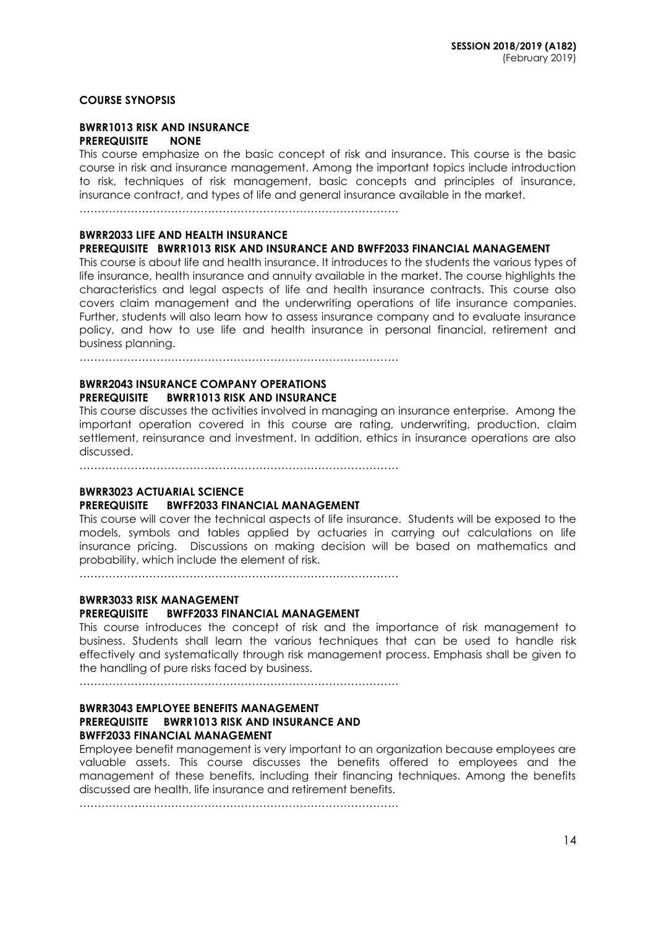### **COURSE SYNOPSIS**

#### **BWRR1013 RISK AND INSURANCE PREREQUISITE**

This course emphasize on the basic concept of risk and insurance. This course is the basic course in risk and insurance management. Among the important topics include introduction to risk, techniques of risk management, basic concepts and principles of insurance, insurance contract, and types of life and general insurance available in the market.

……………………………………………………………………………

## **BWRR2033 LIFE AND HEALTH INSURANCE**

# **PREREQUISITE BWRR1013 RISK AND INSURANCE AND BWFF2033 FINANCIAL MANAGEMENT**

This course is about life and health insurance. It introduces to the students the various types of life insurance, health insurance and annuity available in the market. The course highlights the characteristics and legal aspects of life and health insurance contracts. This course also covers claim management and the underwriting operations of life insurance companies. Further, students will also learn how to assess insurance company and to evaluate insurance policy, and how to use life and health insurance in personal financial, retirement and business planning.

……………………………………………………………………………

### **BWRR2043 INSURANCE COMPANY OPERATIONS PREREQUISITE BWRR1013 RISK AND INSURANCE**

This course discusses the activities involved in managing an insurance enterprise. Among the important operation covered in this course are rating, underwriting, production, claim settlement, reinsurance and investment. In addition, ethics in insurance operations are also discussed.

……………………………………………………………………………

### **BWRR3023 ACTUARIAL SCIENCE**

### **PREREQUISITE BWFF2033 FINANCIAL MANAGEMENT**

This course will cover the technical aspects of life insurance. Students will be exposed to the models, symbols and tables applied by actuaries in carrying out calculations on life insurance pricing. Discussions on making decision will be based on mathematics and probability, which include the element of risk.

……………………………………………………………………………

# **BWRR3033 RISK MANAGEMENT**

### **PREREQUISITE BWFF2033 FINANCIAL MANAGEMENT**

This course introduces the concept of risk and the importance of risk management to business. Students shall learn the various techniques that can be used to handle risk effectively and systematically through risk management process. Emphasis shall be given to the handling of pure risks faced by business.

 $\mathcal{L}^{(n)}$ 

### **BWRR3043 EMPLOYEE BENEFITS MANAGEMENT PREREQUISITE BWRR1013 RISK AND INSURANCE AND BWFF2033 FINANCIAL MANAGEMENT**

Employee benefit management is very important to an organization because employees are valuable assets. This course discusses the benefits offered to employees and the management of these benefits, including their financing techniques. Among the benefits discussed are health, life insurance and retirement benefits.

……………………………………………………………………………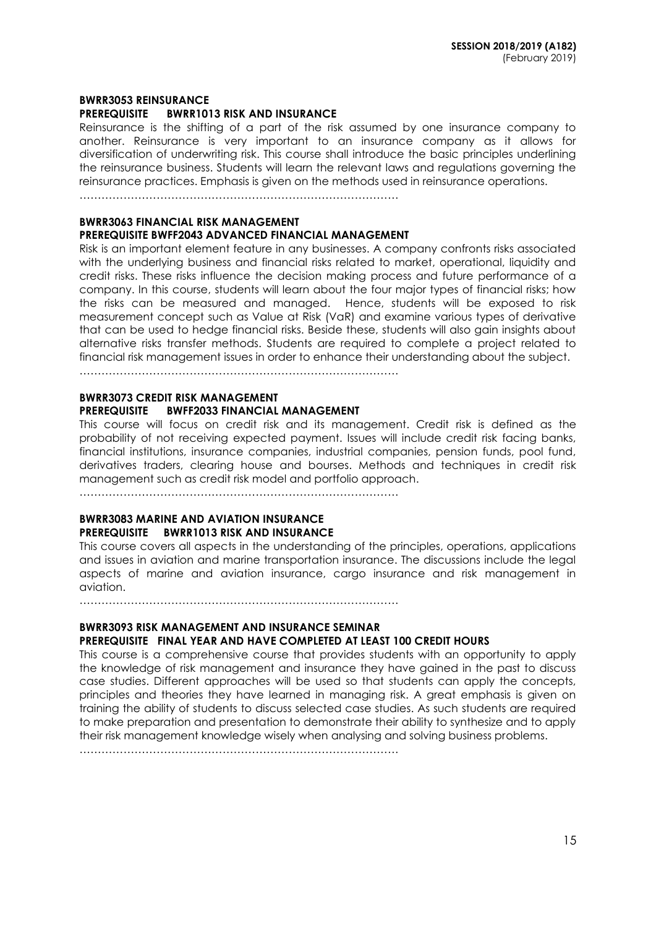#### **BWRR3053 REINSURANCE PREREQUISITE BWRR1013 RISK AND INSURANCE**

Reinsurance is the shifting of a part of the risk assumed by one insurance company to another. Reinsurance is very important to an insurance company as it allows for diversification of underwriting risk. This course shall introduce the basic principles underlining the reinsurance business. Students will learn the relevant laws and regulations governing the reinsurance practices. Emphasis is given on the methods used in reinsurance operations.

……………………………………………………………………………

### **BWRR3063 FINANCIAL RISK MANAGEMENT PREREQUISITE BWFF2043 ADVANCED FINANCIAL MANAGEMENT**

Risk is an important element feature in any businesses. A company confronts risks associated with the underlying business and financial risks related to market, operational, liquidity and credit risks. These risks influence the decision making process and future performance of a company. In this course, students will learn about the four major types of financial risks; how the risks can be measured and managed. Hence, students will be exposed to risk measurement concept such as Value at Risk (VaR) and examine various types of derivative that can be used to hedge financial risks. Beside these, students will also gain insights about alternative risks transfer methods. Students are required to complete a project related to financial risk management issues in order to enhance their understanding about the subject.

……………………………………………………………………………

#### **BWRR3073 CREDIT RISK MANAGEMENT PREREQUISITE BWFF2033 FINANCIAL MANAGEMENT**

This course will focus on credit risk and its management. Credit risk is defined as the probability of not receiving expected payment. Issues will include credit risk facing banks, financial institutions, insurance companies, industrial companies, pension funds, pool fund, derivatives traders, clearing house and bourses. Methods and techniques in credit risk management such as credit risk model and portfolio approach.

……………………………………………………………………………

### **BWRR3083 MARINE AND AVIATION INSURANCE PREREQUISITE BWRR1013 RISK AND INSURANCE**

This course covers all aspects in the understanding of the principles, operations, applications and issues in aviation and marine transportation insurance. The discussions include the legal aspects of marine and aviation insurance, cargo insurance and risk management in aviation.

……………………………………………………………………………

### **BWRR3093 RISK MANAGEMENT AND INSURANCE SEMINAR**

### **PREREQUISITE FINAL YEAR AND HAVE COMPLETED AT LEAST 100 CREDIT HOURS**

This course is a comprehensive course that provides students with an opportunity to apply the knowledge of risk management and insurance they have gained in the past to discuss case studies. Different approaches will be used so that students can apply the concepts, principles and theories they have learned in managing risk. A great emphasis is given on training the ability of students to discuss selected case studies. As such students are required to make preparation and presentation to demonstrate their ability to synthesize and to apply their risk management knowledge wisely when analysing and solving business problems.

……………………………………………………………………………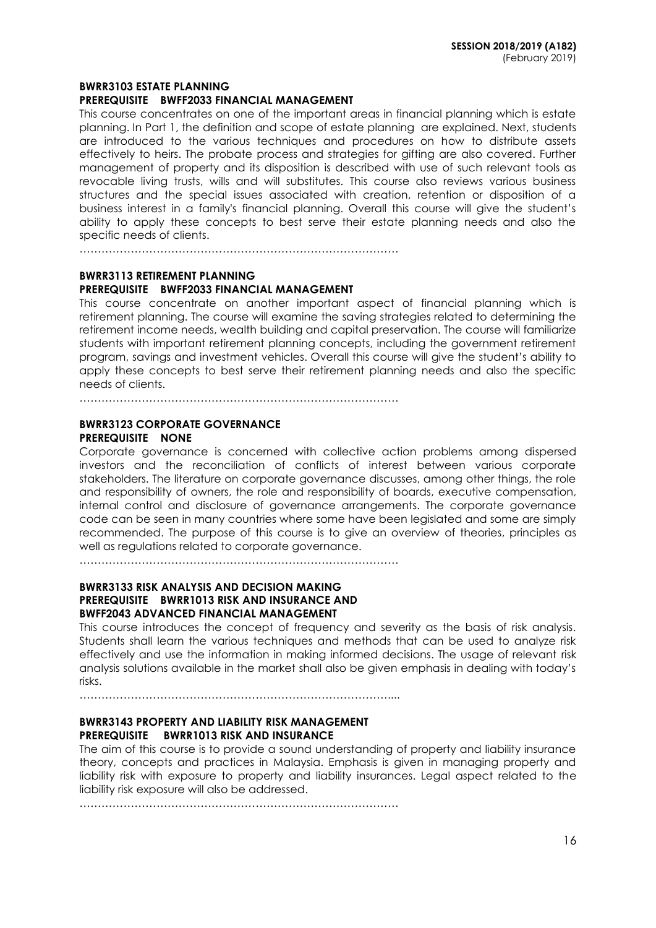#### **BWRR3103 ESTATE PLANNING**

#### **PREREQUISITE BWFF2033 FINANCIAL MANAGEMENT**

This course concentrates on one of the important areas in financial planning which is estate planning. In Part 1, the definition and scope of estate planning are explained. Next, students are introduced to the various techniques and procedures on how to distribute assets effectively to heirs. The probate process and strategies for gifting are also covered. Further management of property and its disposition is described with use of such relevant tools as revocable living trusts, wills and will substitutes. This course also reviews various business structures and the special issues associated with creation, retention or disposition of a business interest in a family's financial planning. Overall this course will give the student's ability to apply these concepts to best serve their estate planning needs and also the specific needs of clients.

……………………………………………………………………………

### **BWRR3113 RETIREMENT PLANNING PREREQUISITE BWFF2033 FINANCIAL MANAGEMENT**

This course concentrate on another important aspect of financial planning which is retirement planning. The course will examine the saving strategies related to determining the retirement income needs, wealth building and capital preservation. The course will familiarize students with important retirement planning concepts, including the government retirement program, savings and investment vehicles. Overall this course will give the student's ability to apply these concepts to best serve their retirement planning needs and also the specific needs of clients.

……………………………………………………………………………

### **BWRR3123 CORPORATE GOVERNANCE PREREQUISITE NONE**

Corporate governance is concerned with collective action problems among dispersed investors and the reconciliation of conflicts of interest between various corporate stakeholders. The literature on corporate governance discusses, among other things, the role and responsibility of owners, the role and responsibility of boards, executive compensation, internal control and disclosure of governance arrangements. The corporate governance code can be seen in many countries where some have been legislated and some are simply recommended. The purpose of this course is to give an overview of theories, principles as well as regulations related to corporate governance.

……………………………………………………………………………

### **BWRR3133 RISK ANALYSIS AND DECISION MAKING PREREQUISITE BWRR1013 RISK AND INSURANCE AND BWFF2043 ADVANCED FINANCIAL MANAGEMENT**

This course introduces the concept of frequency and severity as the basis of risk analysis. Students shall learn the various techniques and methods that can be used to analyze risk effectively and use the information in making informed decisions. The usage of relevant risk analysis solutions available in the market shall also be given emphasis in dealing with today's risks.

…………………………………………………………………………....

### **BWRR3143 PROPERTY AND LIABILITY RISK MANAGEMENT PREREQUISITE BWRR1013 RISK AND INSURANCE**

The aim of this course is to provide a sound understanding of property and liability insurance theory, concepts and practices in Malaysia. Emphasis is given in managing property and liability risk with exposure to property and liability insurances. Legal aspect related to the liability risk exposure will also be addressed.

……………………………………………………………………………